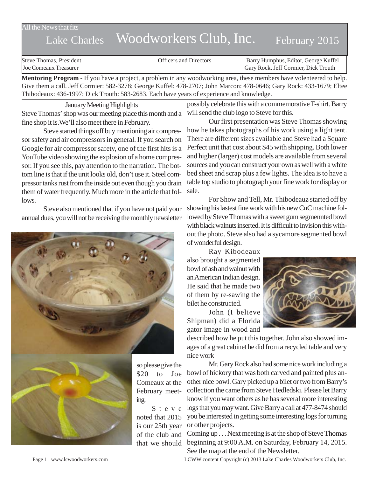## All the News that fits

# Lake Charles Woodworkers Club, Inc. February 2015

| Steve Thomas, President      | <b>Officers and Directors</b> | Barry Humphus, Editor, George Kuffel |
|------------------------------|-------------------------------|--------------------------------------|
| <b>Joe Comeaux Treasurer</b> |                               | Gary Rock, Jeff Cormier, Dick Trouth |

**Mentoring Program** - If you have a project, a problem in any woodworking area, these members have volenteered to help. Give them a call. Jeff Cormier: 582-3278; George Kuffel: 478-2707; John Marcon: 478-0646; Gary Rock: 433-1679; Eltee Thibodeaux: 436-1997; Dick Trouth: 583-2683. Each have years of experience and knowledge.

January Meeting Highlights Steve Thomas' shop was our meeting place this month and a fine shop it is.We'll also meet there in February.

Steve started things off buy mentioning air compressor safety and air compressors in general. If you search on Google for air compressor safety, one of the first hits is a YouTube video showing the explosion of a home compressor. If you see this, pay attention to the narration. The bottom line is that if the unit looks old, don't use it. Steel compressor tanks rust from the inside out even though you drain them of water frequently. Much more in the article that follows.

Steve also mentioned that if you have not paid your annual dues, you will not be receiving the monthly newsletter



so please give the \$20 to Joe Comeaux at the February meet-

Steve noted that 2015 is our 25th year of the club and that we should possibly celebrate this with a commemorative T-shirt. Barry will send the club logo to Steve for this.

Our first presentation was Steve Thomas showing how he takes photographs of his work using a light tent. There are different sizes available and Steve had a Square Perfect unit that cost about \$45 with shipping. Both lower and higher (larger) cost models are available from several sources and you can construct your own as well with a white bed sheet and scrap plus a few lights. The idea is to have a table top studio to photograph your fine work for display or sale.

For Show and Tell, Mr. Thibodeauz started off by showing his lastest fine work with his new CnC machine followed by Steve Thomas with a sweet gum segmennted bowl with black walnuts inserted. It is difficult to invision this without the photo. Steve also had a sycamore segmented bowl of wonderful design.

Ray Kibodeaux also brought a segmented bowl of ash and walnut with an American Indian design. He said that he made two of them by re-sawing the bilet he constructed.

John (I believe Shipman) did a Florida gator image in wood and



described how he put this together. John also showed images of a great cabinet he did from a recycled table and very nice work

Mr. Gary Rock also had some nice work including a bowl of hickory that was both carved and painted plus another nice bowl. Gary picked up a bilet or two from Barry's collection the came from Steve Hedledski. Please let Barry know if you want others as he has several more interesting logs that you may want. Give Barry a call at 477-8474 should you be interested in getting some interesting logs for turning or other projects.

Coming up . . . Next meeting is at the shop of Steve Thomas beginning at 9:00 A.M. on Saturday, February 14, 2015. See the map at the end of the Newsletter.

Page 1 www.lcwoodworkers.com LCWW content Copyright (c) 2013 Lake Charles Woodworkers Club, Inc.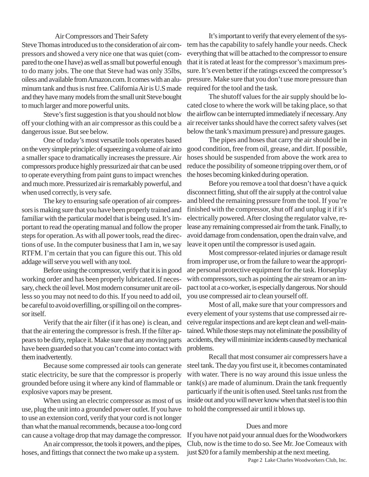## Air Compressors and Their Safety

Steve Thomas introduced us to the consideration of air compressors and showed a very nice one that was quiet (compared to the one I have) as well as small but powerful enough to do many jobs. The one that Steve had was only 35lbs, oiless and available from Amazon.com. It comes with an aluminum tank and thus is rust free. California Air is U.S made and they have many models from the small unit Steve bought to much larger and more powerful units.

Steve's first suggestion is that you should not blow off your clothing with an air compressor as this could be a dangerous issue. But see below.

One of today's most versatile tools operates based on the very simple principle: of squeezing a volume of air into a smaller space to dramatically increases the pressure. Air compressors produce highly pressurized air that can be used to operate everything from paint guns to impact wrenches and much more. Pressurized air is remarkably powerful, and when used correctly, is very safe.

The key to ensuring safe operation of air compressors is making sure that you have been properly trained and familiar with the particular model that is being used. It's important to read the operating manual and follow the proper steps for operation. As with all power tools, read the directions of use. In the computer business that I am in, we say RTFM. I'm certain that you can figure this out. This old addage will serve you well with any tool.

Before using the compressor, verify that it is in good working order and has been properly lubricated. If necessary, check the oil level. Most modern consumer unit are oilless so you may not need to do this. If you need to add oil, be careful to avoid overfilling, or spilling oil on the compressor itself.

Verify that the air filter (if it has one) is clean, and that the air entering the compressor is fresh. If the filter appears to be dirty, replace it. Make sure that any moving parts have been guarded so that you can't come into contact with them inadvertently.

Because some compressed air tools can generate static electricity, be sure that the compressor is properly grounded before using it where any kind of flammable or explosive vapors may be present.

When using an electric compressor as most of us use, plug the unit into a grounded power outlet. If you have to use an extension cord, verify that your cord is not longer than what the manual recommends, because a too-long cord can cause a voltage drop that may damage the compressor.

An air compressor, the tools it powers, and the pipes, hoses, and fittings that connect the two make up a system.

It's important to verify that every element of the system has the capability to safely handle your needs. Check everything that will be attached to the compressor to ensure that it is rated at least for the compressor's maximum pressure. It's even better if the ratings exceed the compressor's pressure. Make sure that you don't use more pressure than required for the tool and the task.

The shutoff values for the air supply should be located close to where the work will be taking place, so that the airflow can be interrupted immediately if necessary. Any air receiver tanks should have the correct safety valves (set below the tank's maximum pressure) and pressure gauges.

The pipes and hoses that carry the air should be in good condition, free from oil, grease, and dirt. If possible, hoses should be suspended from above the work area to reduce the possibility of someone tripping over them, or of the hoses becoming kinked during operation.

Before you remove a tool that doesn't have a quick disconnect fitting, shut off the air supply at the control value and bleed the remaining pressure from the tool. If you're finished with the compressor, shut off and unplug it if it's electrically powered. After closing the regulator valve, release any remaining compressed air from the tank. Finally, to avoid damage from condensation, open the drain valve, and leave it open until the compressor is used again.

Most compressor-related injuries or damage result from improper use, or from the failure to wear the appropriate personal protective equipment for the task. Horseplay with compressors, such as pointing the air stream or an impact tool at a co-worker, is especially dangerous. Nor should you use compressed air to clean yourself off.

Most of all, make sure that your compressors and every element of your systems that use compressed air receive regular inspections and are kept clean and well-maintained. While those steps may not eliminate the possibility of accidents, they will minimize incidents caused by mechanical problems.

Recall that most consumer air compressers have a steel tank. The day you first use it, it becomes contaminated with water. There is no way around this issue unless the tank(s) are made of aluminum. Drain the tank frequently particuarly if the unit is often used. Steel tanks rust from the inside out and you will never know when that steel is too thin to hold the compressed air until it blows up.

#### Dues and more

If you have not paid your annual dues for the Woodworkers Club, now is the time to do so. See Mr. Joe Comeaux with just \$20 for a family membership at the next meeting.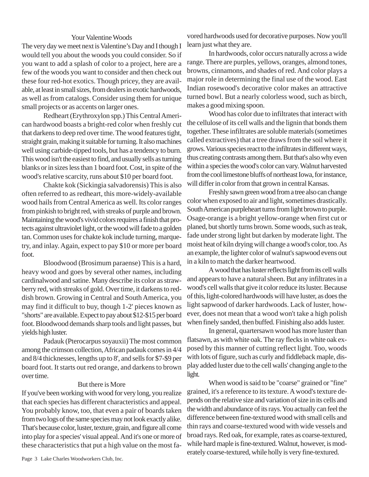## Your Valentine Woods

The very day we meet next is Valentine's Day and I though I would tell you about the woods you could consider. So if you want to add a splash of color to a project, here are a few of the woods you want to consider and then check out these four red-hot exotics. Though pricey, they are available, at least in small sizes, from dealers in exotic hardwoods, as well as from catalogs. Consider using them for unique small projects or as accents on larger ones.

Redheart (Erythroxylon spp.) This Central American hardwood boasts a bright-red color when freshly cut that darkens to deep red over time. The wood features tight, straight grain, making it suitable for turning. It also machines well using carbide-tipped tools, but has a tendency to burn. This wood isn't the easiest to find, and usually sells as turning blanks or in sizes less than 1 board foot. Cost, in spite of the wood's relative scarcity, runs about \$10 per board foot.

Chakte kok (Sickingia salvadorensis) This is also often referred to as redheart, this more-widely-available wood hails from Central America as well. Its color ranges from pinkish to bright red, with streaks of purple and brown. Maintaining the wood's vivid colors requires a finish that protects against ultraviolet light, or the wood will fade to a golden tan. Common uses for chakte kok include turning, marquetry, and inlay. Again, expect to pay \$10 or more per board foot.

Bloodwood (Brosimum paraense) This is a hard, heavy wood and goes by several other names, including cardinalwood and satine. Many describe its color as strawberry red, with streaks of gold. Over time, it darkens to reddish brown. Growing in Central and South America, you may find it difficult to buy, though 1-2' pieces known as "shorts" are available. Expect to pay about \$12-\$15 per board foot. Bloodwood demands sharp tools and light passes, but yields high luster.

Padauk (Pterocarpus soyauxii) The most common among the crimson collection, African padauk comes in 4/4 and 8/4 thicknesses, lengths up to 8', and sells for \$7-\$9 per board foot. It starts out red orange, and darkens to brown over time.

# But there is More

If you've been working with wood for very long, you realize that each species has different characteristics and appeal. You probably know, too, that even a pair of boards taken from two logs of the same species may not look exactly alike. That's because color, luster, texture, grain, and figure all come into play for a species' visual appeal. And it's one or more of these characteristics that put a high value on the most favored hardwoods used for decorative purposes. Now you'll learn just what they are.

In hardwoods, color occurs naturally across a wide range. There are purples, yellows, oranges, almond tones, browns, cinnamons, and shades of red. And color plays a major role in determining the final use of the wood. East Indian rosewood's decorative color makes an attractive turned bowl. But a nearly colorless wood, such as birch, makes a good mixing spoon.

Wood has color due to infiltrates that interact with the cellulose of its cell walls and the lignin that bonds them together. These infiltrates are soluble materials (sometimes called extractives) that a tree draws from the soil where it grows. Various species react to the infiltrates in different ways, thus creating contrasts among them. But that's also why even within a species the wood's color can vary. Walnut harvested from the cool limestone bluffs of northeast Iowa, for instance, will differ in color from that grown in central Kansas.

Freshly sawn green wood from a tree also can change color when exposed to air and light, sometimes drastically. South American purpleheart turns from light brown to purple. Osage-orange is a bright yellow-orange when first cut or planed, but shortly turns brown. Some woods, such as teak, fade under strong light but darken by moderate light. The moist heat of kiln drying will change a wood's color, too. As an example, the lighter color of walnut's sapwood evens out in a kiln to match the darker heartwood.

A wood that has luster reflects light from its cell walls and appears to have a natural sheen. But any infiltrates in a wood's cell walls that give it color reduce its luster. Because of this, light-colored hardwoods will have luster, as does the light sapwood of darker hardwoods. Lack of luster, however, does not mean that a wood won't take a high polish when finely sanded, then buffed. Finishing also adds luster.

In general, quartersawn wood has more luster than flatsawn, as with white oak. The ray flecks in white oak exposed by this manner of cutting reflect light. Too, woods with lots of figure, such as curly and fiddleback maple, display added luster due to the cell walls' changing angle to the light.

When wood is said to be "coarse" grained or "fine" grained, it's a reference to its texture. A wood's texture depends on the relative size and variation of size in its cells and the width and abundance of its rays. You actually can feel the difference between fine-textured wood with small cells and thin rays and coarse-textured wood with wide vessels and broad rays. Red oak, for example, rates as coarse-textured, while hard maple is fine-textured. Walnut, however, is moderately coarse-textured, while holly is very fine-textured.